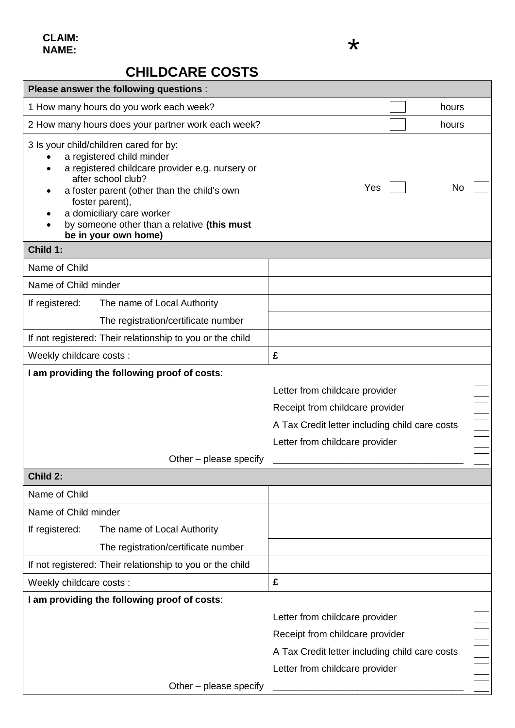## **CHILDCARE COSTS**

| Please answer the following questions :                                                                                                                                                                                                                                                                            |                                                                                                                                                       |  |
|--------------------------------------------------------------------------------------------------------------------------------------------------------------------------------------------------------------------------------------------------------------------------------------------------------------------|-------------------------------------------------------------------------------------------------------------------------------------------------------|--|
| 1 How many hours do you work each week?                                                                                                                                                                                                                                                                            | hours                                                                                                                                                 |  |
| 2 How many hours does your partner work each week?                                                                                                                                                                                                                                                                 | hours                                                                                                                                                 |  |
| 3 Is your child/children cared for by:<br>a registered child minder<br>a registered childcare provider e.g. nursery or<br>after school club?<br>a foster parent (other than the child's own<br>foster parent),<br>a domiciliary care worker<br>by someone other than a relative (this must<br>be in your own home) | Yes<br>No                                                                                                                                             |  |
| Child 1:                                                                                                                                                                                                                                                                                                           |                                                                                                                                                       |  |
| Name of Child                                                                                                                                                                                                                                                                                                      |                                                                                                                                                       |  |
| Name of Child minder                                                                                                                                                                                                                                                                                               |                                                                                                                                                       |  |
| If registered:<br>The name of Local Authority                                                                                                                                                                                                                                                                      |                                                                                                                                                       |  |
| The registration/certificate number                                                                                                                                                                                                                                                                                |                                                                                                                                                       |  |
| If not registered: Their relationship to you or the child                                                                                                                                                                                                                                                          |                                                                                                                                                       |  |
| Weekly childcare costs :                                                                                                                                                                                                                                                                                           | £                                                                                                                                                     |  |
| I am providing the following proof of costs:<br>Other – please specify                                                                                                                                                                                                                                             | Letter from childcare provider<br>Receipt from childcare provider<br>A Tax Credit letter including child care costs<br>Letter from childcare provider |  |
| Child 2:                                                                                                                                                                                                                                                                                                           |                                                                                                                                                       |  |
| Name of Child                                                                                                                                                                                                                                                                                                      |                                                                                                                                                       |  |
| Name of Child minder                                                                                                                                                                                                                                                                                               |                                                                                                                                                       |  |
| If registered:<br>The name of Local Authority<br>The registration/certificate number                                                                                                                                                                                                                               |                                                                                                                                                       |  |
| If not registered: Their relationship to you or the child                                                                                                                                                                                                                                                          |                                                                                                                                                       |  |
| Weekly childcare costs :                                                                                                                                                                                                                                                                                           | £                                                                                                                                                     |  |
| I am providing the following proof of costs:                                                                                                                                                                                                                                                                       |                                                                                                                                                       |  |
|                                                                                                                                                                                                                                                                                                                    | Letter from childcare provider                                                                                                                        |  |
|                                                                                                                                                                                                                                                                                                                    | Receipt from childcare provider                                                                                                                       |  |
|                                                                                                                                                                                                                                                                                                                    | A Tax Credit letter including child care costs                                                                                                        |  |
|                                                                                                                                                                                                                                                                                                                    | Letter from childcare provider                                                                                                                        |  |
| Other - please specify                                                                                                                                                                                                                                                                                             |                                                                                                                                                       |  |